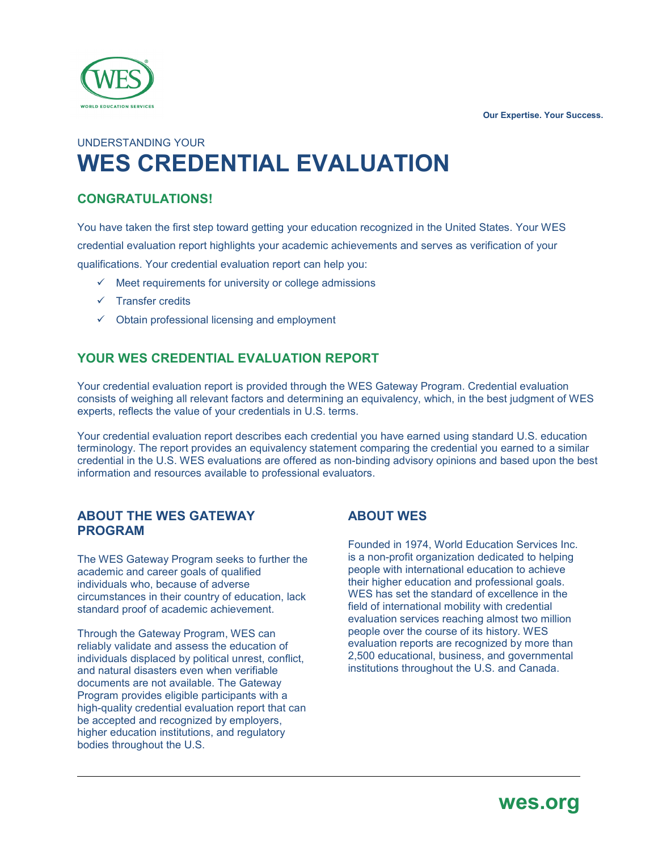**Our Expertise. Your Success.**



# UNDERSTANDING YOUR **WES CREDENTIAL EVALUATION**

## **CONGRATULATIONS!**

You have taken the first step toward getting your education recognized in the United States. Your WES credential evaluation report highlights your academic achievements and serves as verification of your qualifications. Your credential evaluation report can help you:

- $\checkmark$  Meet requirements for university or college admissions
- $\checkmark$  Transfer credits
- $\checkmark$  Obtain professional licensing and employment

## **YOUR WES CREDENTIAL EVALUATION REPORT**

Your credential evaluation report is provided through the WES Gateway Program. Credential evaluation consists of weighing all relevant factors and determining an equivalency, which, in the best judgment of WES experts, reflects the value of your credentials in U.S. terms.

Your credential evaluation report describes each credential you have earned using standard U.S. education terminology. The report provides an equivalency statement comparing the credential you earned to a similar credential in the U.S. WES evaluations are offered as non-binding advisory opinions and based upon the best information and resources available to professional evaluators.

#### **ABOUT THE WES GATEWAY PROGRAM**

The WES Gateway Program seeks to further the academic and career goals of qualified individuals who, because of adverse circumstances in their country of education, lack standard proof of academic achievement.

Through the Gateway Program, WES can reliably validate and assess the education of individuals displaced by political unrest, conflict, and natural disasters even when verifiable documents are not available. The Gateway Program provides eligible participants with a high-quality credential evaluation report that can be accepted and recognized by employers, higher education institutions, and regulatory bodies throughout the U.S.

ֺ֝

# **ABOUT WES**

Founded in 1974, World Education Services Inc. is a non-profit organization dedicated to helping people with international education to achieve their higher education and professional goals. WES has set the standard of excellence in the field of international mobility with credential evaluation services reaching almost two million people over the course of its history. WES evaluation reports are recognized by more than 2,500 educational, business, and governmental institutions throughout the U.S. and Canada.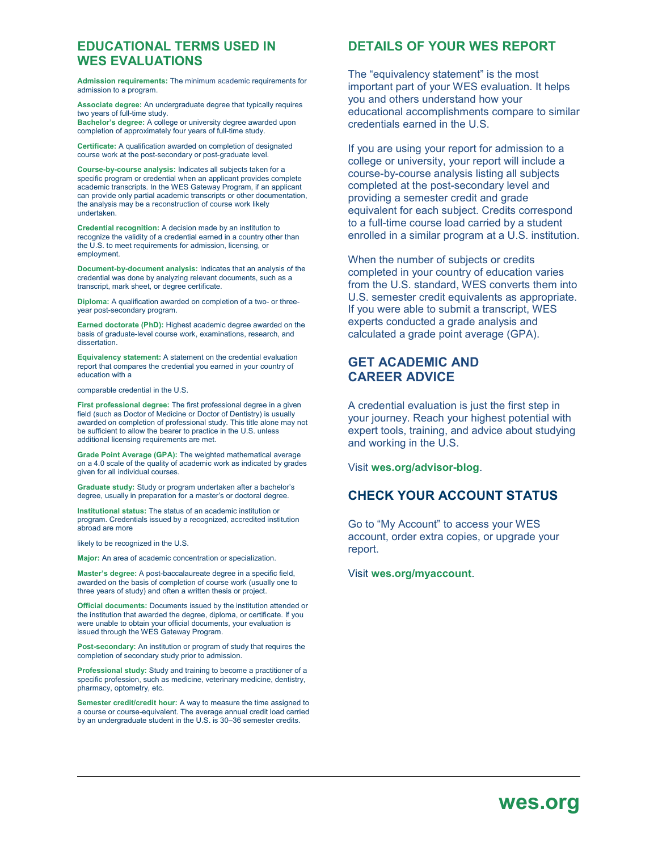#### **EDUCATIONAL TERMS USED IN WES EVALUATIONS**

**Admission requirements:** The minimum academic requirements for admission to a program.

**Associate degree:** An undergraduate degree that typically requires two years of full-time study.

**Bachelor's degree:** A college or university degree awarded upon completion of approximately four years of full-time study.

**Certificate:** A qualification awarded on completion of designated course work at the post-secondary or post-graduate level.

**Course-by-course analysis:** Indicates all subjects taken for a specific program or credential when an applicant provides complete academic transcripts. In the WES Gateway Program, if an applicant can provide only partial academic transcripts or other documentation, the analysis may be a reconstruction of course work likely undertaken.

**Credential recognition:** A decision made by an institution to recognize the validity of a credential earned in a country other than the U.S. to meet requirements for admission, licensing, or employment.

**Document-by-document analysis:** Indicates that an analysis of the credential was done by analyzing relevant documents, such as a transcript, mark sheet, or degree certificate.

**Diploma:** A qualification awarded on completion of a two- or threeyear post-secondary program.

**Earned doctorate (PhD):** Highest academic degree awarded on the basis of graduate-level course work, examinations, research, and dissertation.

**Equivalency statement:** A statement on the credential evaluation report that compares the credential you earned in your country of education with a

comparable credential in the U.S.

**First professional degree:** The first professional degree in a given field (such as Doctor of Medicine or Doctor of Dentistry) is usually awarded on completion of professional study. This title alone may not be sufficient to allow the bearer to practice in the U.S. unless additional licensing requirements are met.

**Grade Point Average (GPA):** The weighted mathematical average on a 4.0 scale of the quality of academic work as indicated by grades given for all individual courses.

**Graduate study:** Study or program undertaken after a bachelor's degree, usually in preparation for a master's or doctoral degree.

**Institutional status:** The status of an academic institution or program. Credentials issued by a recognized, accredited institution abroad are more

likely to be recognized in the U.S.

ֺ֝

**Major:** An area of academic concentration or specialization.

**Master's degree:** A post-baccalaureate degree in a specific field, awarded on the basis of completion of course work (usually one to three years of study) and often a written thesis or project.

**Official documents:** Documents issued by the institution attended or the institution that awarded the degree, diploma, or certificate. If you were unable to obtain your official documents, your evaluation is issued through the WES Gateway Program.

**Post-secondary:** An institution or program of study that requires the completion of secondary study prior to admission.

**Professional study:** Study and training to become a practitioner of a specific profession, such as medicine, veterinary medicine, dentistry, pharmacy, optometry, etc.

**Semester credit/credit hour:** A way to measure the time assigned to a course or course-equivalent. The average annual credit load carried by an undergraduate student in the U.S. is 30–36 semester credits.

#### **DETAILS OF YOUR WES REPORT**

The "equivalency statement" is the most important part of your WES evaluation. It helps you and others understand how your educational accomplishments compare to similar credentials earned in the U.S.

If you are using your report for admission to a college or university, your report will include a course-by-course analysis listing all subjects completed at the post-secondary level and providing a semester credit and grade equivalent for each subject. Credits correspond to a full-time course load carried by a student enrolled in a similar program at a U.S. institution.

When the number of subjects or credits completed in your country of education varies from the U.S. standard, WES converts them into U.S. semester credit equivalents as appropriate. If you were able to submit a transcript, WES experts conducted a grade analysis and calculated a grade point average (GPA).

#### **GET ACADEMIC AND CAREER ADVICE**

A credential evaluation is just the first step in your journey. Reach your highest potential with expert tools, training, and advice about studying and working in the U.S.

Visit **[wes.org/advisor-blog](http://wes.org/advisor-blog)**.

#### **CHECK YOUR ACCOUNT STATUS**

Go to "My Account" to access your WES account, order extra copies, or upgrade your report.

Visit **[wes.org/myaccount](http://wes.org/myaccount)**.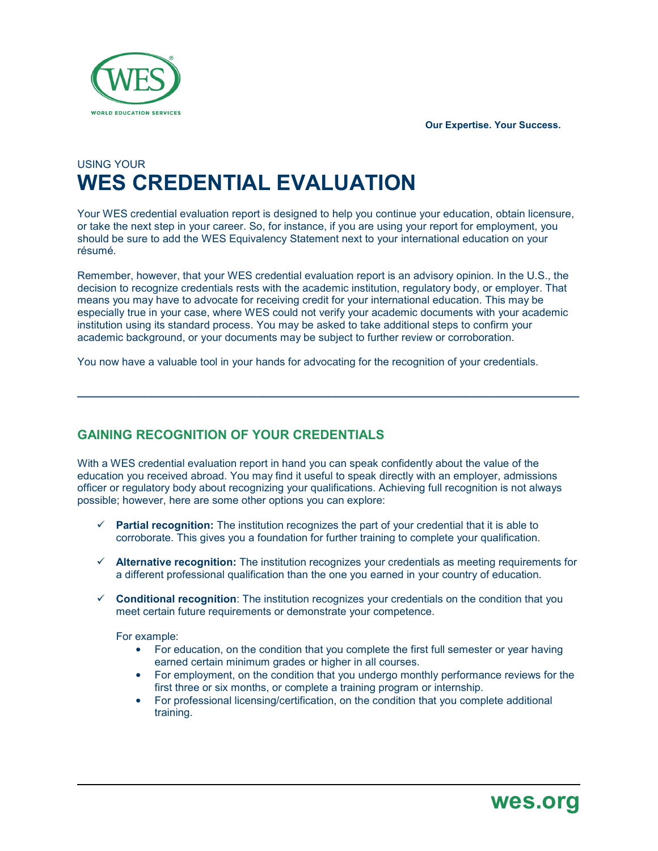**Our Expertise. Your Success.**



# USING YOUR **WES CREDENTIAL EVALUATION**

Your WES credential evaluation report is designed to help you continue your education, obtain licensure, or take the next step in your career. So, for instance, if you are using your report for employment, you should be sure to add the WES Equivalency Statement next to your international education on your résumé.

Remember, however, that your WES credential evaluation report is an advisory opinion. In the U.S., the decision to recognize credentials rests with the academic institution, regulatory body, or employer. That means you may have to advocate for receiving credit for your international education. This may be especially true in your case, where WES could not verify your academic documents with your academic institution using its standard process. You may be asked to take additional steps to confirm your academic background, or your documents may be subject to further review or corroboration.

**\_\_\_\_\_\_\_\_\_\_\_\_\_\_\_\_\_\_\_\_\_\_\_\_\_\_\_\_\_\_\_\_\_\_\_\_\_\_\_\_\_\_\_\_\_\_\_\_\_\_\_\_\_\_\_\_\_\_\_\_\_\_\_\_\_\_\_\_\_\_**

You now have a valuable tool in your hands for advocating for the recognition of your credentials.

# **GAINING RECOGNITION OF YOUR CREDENTIALS**

With a WES credential evaluation report in hand you can speak confidently about the value of the education you received abroad. You may find it useful to speak directly with an employer, admissions officer or regulatory body about recognizing your qualifications. Achieving full recognition is not always possible; however, here are some other options you can explore:

- $\checkmark$  **Partial recognition:** The institution recognizes the part of your credential that it is able to corroborate. This gives you a foundation for further training to complete your qualification.
- **Alternative recognition:** The institution recognizes your credentials as meeting requirements for a different professional qualification than the one you earned in your country of education.
- $\checkmark$  **Conditional recognition**: The institution recognizes your credentials on the condition that you meet certain future requirements or demonstrate your competence.

For example:

- For education, on the condition that you complete the first full semester or year having earned certain minimum grades or higher in all courses.
- For employment, on the condition that you undergo monthly performance reviews for the first three or six months, or complete a training program or internship.
- For professional licensing/certification, on the condition that you complete additional training.